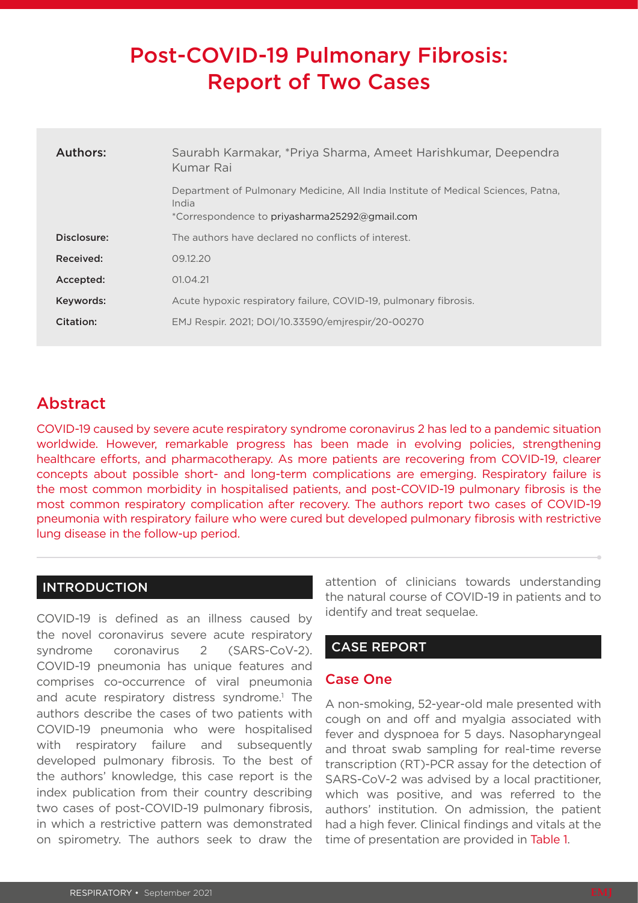# Post-COVID-19 Pulmonary Fibrosis: Report of Two Cases

| Authors:    | Saurabh Karmakar, *Priya Sharma, Ameet Harishkumar, Deependra<br>Kumar Rai                                                                  |  |
|-------------|---------------------------------------------------------------------------------------------------------------------------------------------|--|
|             | Department of Pulmonary Medicine, All India Institute of Medical Sciences, Patna,<br>India<br>*Correspondence to priyasharma25292@qmail.com |  |
| Disclosure: | The authors have declared no conflicts of interest.                                                                                         |  |
| Received:   | 09.12.20                                                                                                                                    |  |
| Accepted:   | 01.04.21                                                                                                                                    |  |
| Keywords:   | Acute hypoxic respiratory failure, COVID-19, pulmonary fibrosis.                                                                            |  |
| Citation:   | EMJ Respir. 2021; DOI/10.33590/emjrespir/20-00270                                                                                           |  |

## Abstract

COVID-19 caused by severe acute respiratory syndrome coronavirus 2 has led to a pandemic situation worldwide. However, remarkable progress has been made in evolving policies, strengthening healthcare efforts, and pharmacotherapy. As more patients are recovering from COVID-19, clearer concepts about possible short- and long-term complications are emerging. Respiratory failure is the most common morbidity in hospitalised patients, and post-COVID-19 pulmonary fibrosis is the most common respiratory complication after recovery. The authors report two cases of COVID-19 pneumonia with respiratory failure who were cured but developed pulmonary fibrosis with restrictive lung disease in the follow-up period.

#### INTRODUCTION

COVID-19 is defined as an illness caused by the novel coronavirus severe acute respiratory syndrome coronavirus 2 (SARS-CoV-2). COVID-19 pneumonia has unique features and comprises co-occurrence of viral pneumonia and acute respiratory distress syndrome.<sup>1</sup> The authors describe the cases of two patients with COVID-19 pneumonia who were hospitalised with respiratory failure and subsequently developed pulmonary fibrosis. To the best of the authors' knowledge, this case report is the index publication from their country describing two cases of post-COVID-19 pulmonary fibrosis, in which a restrictive pattern was demonstrated on spirometry. The authors seek to draw the

attention of clinicians towards understanding the natural course of COVID-19 in patients and to identify and treat sequelae.

### CASE REPORT

#### Case One

A non-smoking, 52-year-old male presented with cough on and off and myalgia associated with fever and dyspnoea for 5 days. Nasopharyngeal and throat swab sampling for real-time reverse transcription (RT)-PCR assay for the detection of SARS-CoV-2 was advised by a local practitioner, which was positive, and was referred to the authors' institution. On admission, the patient had a high fever. Clinical findings and vitals at the time of presentation are provided in Table 1.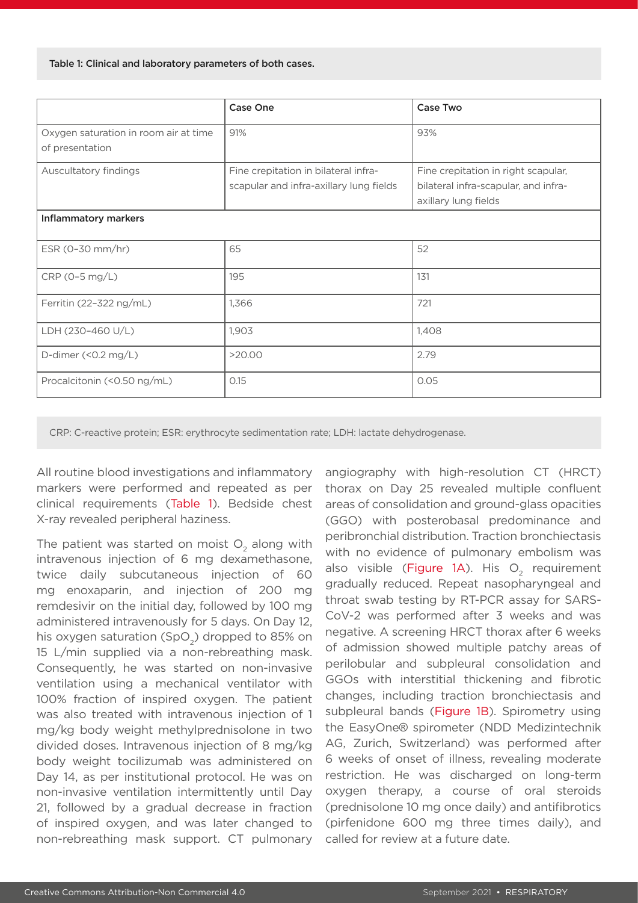Table 1: Clinical and laboratory parameters of both cases.

|                                                          | <b>Case One</b>                                                                 | Case Two                                                                                            |  |
|----------------------------------------------------------|---------------------------------------------------------------------------------|-----------------------------------------------------------------------------------------------------|--|
| Oxygen saturation in room air at time<br>of presentation | 91%                                                                             | 93%                                                                                                 |  |
| Auscultatory findings                                    | Fine crepitation in bilateral infra-<br>scapular and infra-axillary lung fields | Fine crepitation in right scapular,<br>bilateral infra-scapular, and infra-<br>axillary lung fields |  |
| Inflammatory markers                                     |                                                                                 |                                                                                                     |  |
| ESR (0-30 mm/hr)                                         | 65                                                                              | 52                                                                                                  |  |
| CRP (0-5 mg/L)                                           | 195                                                                             | 131                                                                                                 |  |
| Ferritin (22-322 ng/mL)                                  | 1,366                                                                           | 721                                                                                                 |  |
| LDH (230-460 U/L)                                        | 1,903                                                                           | 1,408                                                                                               |  |
| D-dimer (<0.2 mg/L)                                      | >20.00                                                                          | 2.79                                                                                                |  |
| Procalcitonin (<0.50 ng/mL)                              | 0.15                                                                            | 0.05                                                                                                |  |

CRP: C-reactive protein; ESR: erythrocyte sedimentation rate; LDH: lactate dehydrogenase.

All routine blood investigations and inflammatory markers were performed and repeated as per clinical requirements (Table 1). Bedside chest X-ray revealed peripheral haziness.

The patient was started on moist  $O<sub>2</sub>$  along with intravenous injection of 6 mg dexamethasone, twice daily subcutaneous injection of 60 mg enoxaparin, and injection of 200 mg remdesivir on the initial day, followed by 100 mg administered intravenously for 5 days. On Day 12, his oxygen saturation (SpO<sub>2</sub>) dropped to 85% on 15 L/min supplied via a non-rebreathing mask. Consequently, he was started on non-invasive ventilation using a mechanical ventilator with 100% fraction of inspired oxygen. The patient was also treated with intravenous injection of 1 mg/kg body weight methylprednisolone in two divided doses. Intravenous injection of 8 mg/kg body weight tocilizumab was administered on Day 14, as per institutional protocol. He was on non-invasive ventilation intermittently until Day 21, followed by a gradual decrease in fraction of inspired oxygen, and was later changed to non-rebreathing mask support. CT pulmonary angiography with high-resolution CT (HRCT) thorax on Day 25 revealed multiple confluent areas of consolidation and ground-glass opacities (GGO) with posterobasal predominance and peribronchial distribution. Traction bronchiectasis with no evidence of pulmonary embolism was also visible (Figure 1A). His O<sub>2</sub> requirement gradually reduced. Repeat nasopharyngeal and throat swab testing by RT-PCR assay for SARS-CoV-2 was performed after 3 weeks and was negative. A screening HRCT thorax after 6 weeks of admission showed multiple patchy areas of perilobular and subpleural consolidation and GGOs with interstitial thickening and fibrotic changes, including traction bronchiectasis and subpleural bands (Figure 1B). Spirometry using the EasyOne® spirometer (NDD Medizintechnik AG, Zurich, Switzerland) was performed after 6 weeks of onset of illness, revealing moderate restriction. He was discharged on long-term oxygen therapy, a course of oral steroids (prednisolone 10 mg once daily) and antifibrotics (pirfenidone 600 mg three times daily), and called for review at a future date.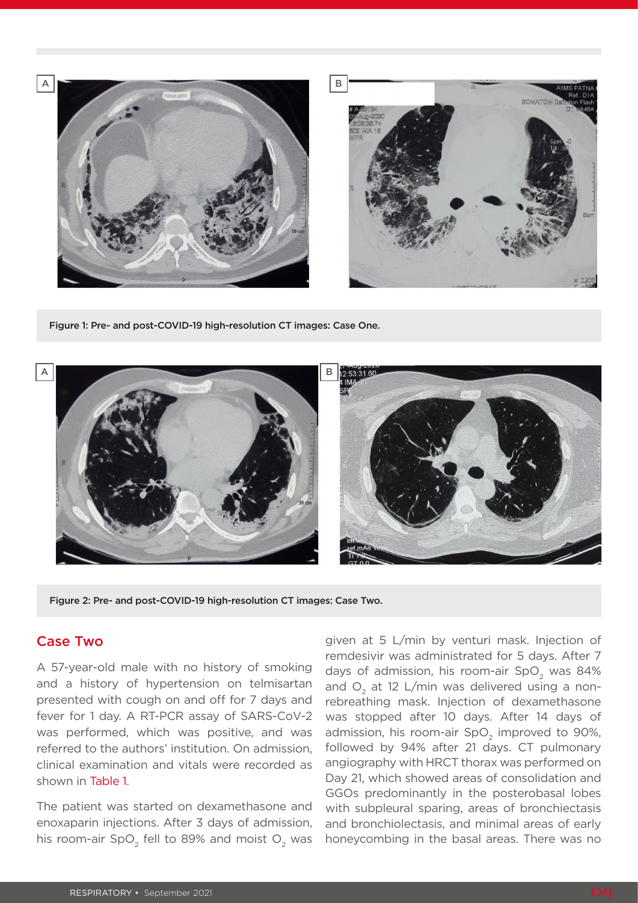

Figure 1: Pre- and post-COVID-19 high-resolution CT images: Case One.



Figure 2: Pre- and post-COVID-19 high-resolution CT images: Case Two.

#### Case Two

A 57-year-old male with no history of smoking and a history of hypertension on telmisartan presented with cough on and off for 7 days and fever for 1 day. A RT-PCR assay of SARS-CoV-2 was performed, which was positive, and was referred to the authors' institution. On admission, clinical examination and vitals were recorded as shown in Table 1.

The patient was started on dexamethasone and enoxaparin injections. After 3 days of admission, his room-air SpO<sub>2</sub> fell to 89% and moist  $O<sub>2</sub>$  was

given at 5 L/min by venturi mask. Injection of remdesivir was administrated for 5 days. After 7 days of admission, his room-air SpO<sub>2</sub> was 84% and  $O<sub>2</sub>$  at 12 L/min was delivered using a nonrebreathing mask. Injection of dexamethasone was stopped after 10 days. After 14 days of admission, his room-air SpO<sub>2</sub> improved to 90%, followed by 94% after 21 days. CT pulmonary angiography with HRCT thorax was performed on Day 21, which showed areas of consolidation and GGOs predominantly in the posterobasal lobes with subpleural sparing, areas of bronchiectasis and bronchiolectasis, and minimal areas of early honeycombing in the basal areas. There was no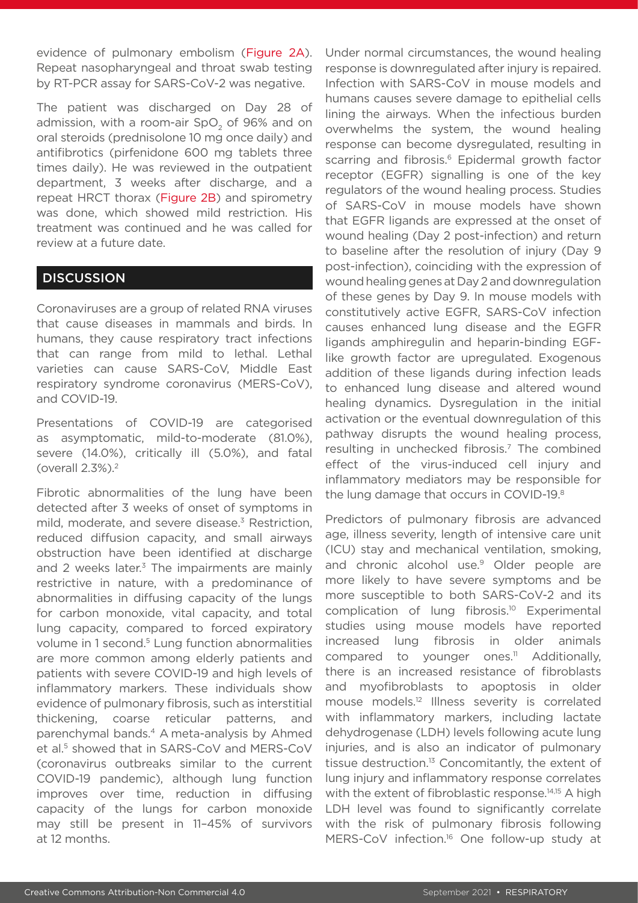evidence of pulmonary embolism (Figure 2A). Repeat nasopharyngeal and throat swab testing by RT-PCR assay for SARS-CoV-2 was negative.

The patient was discharged on Day 28 of admission, with a room-air SpO<sub>2</sub> of 96% and on oral steroids (prednisolone 10 mg once daily) and antifibrotics (pirfenidone 600 mg tablets three times daily). He was reviewed in the outpatient department, 3 weeks after discharge, and a repeat HRCT thorax (Figure 2B) and spirometry was done, which showed mild restriction. His treatment was continued and he was called for review at a future date.

#### **DISCUSSION**

Coronaviruses are a group of related RNA viruses that cause diseases in mammals and birds. In humans, they cause respiratory tract infections that can range from mild to lethal. Lethal varieties can cause SARS-CoV, Middle East respiratory syndrome coronavirus (MERS-CoV), and COVID-19.

Presentations of COVID-19 are categorised as asymptomatic, mild-to-moderate (81.0%), severe (14.0%), critically ill (5.0%), and fatal (overall 2.3%).2

Fibrotic abnormalities of the lung have been detected after 3 weeks of onset of symptoms in mild, moderate, and severe disease.<sup>3</sup> Restriction, reduced diffusion capacity, and small airways obstruction have been identified at discharge and 2 weeks later.<sup>3</sup> The impairments are mainly restrictive in nature, with a predominance of abnormalities in diffusing capacity of the lungs for carbon monoxide, vital capacity, and total lung capacity, compared to forced expiratory volume in 1 second.<sup>5</sup> Lung function abnormalities are more common among elderly patients and patients with severe COVID-19 and high levels of inflammatory markers. These individuals show evidence of pulmonary fibrosis, such as interstitial thickening, coarse reticular patterns, and parenchymal bands.4 A meta-analysis by Ahmed et al.<sup>5</sup> showed that in SARS-CoV and MERS-CoV (coronavirus outbreaks similar to the current COVID-19 pandemic), although lung function improves over time, reduction in diffusing capacity of the lungs for carbon monoxide may still be present in 11–45% of survivors at 12 months.

Under normal circumstances, the wound healing response is downregulated after injury is repaired. Infection with SARS-CoV in mouse models and humans causes severe damage to epithelial cells lining the airways. When the infectious burden overwhelms the system, the wound healing response can become dysregulated, resulting in scarring and fibrosis.<sup>6</sup> Epidermal growth factor receptor (EGFR) signalling is one of the key regulators of the wound healing process. Studies of SARS-CoV in mouse models have shown that EGFR ligands are expressed at the onset of wound healing (Day 2 post-infection) and return to baseline after the resolution of injury (Day 9 post-infection), coinciding with the expression of wound healing genes at Day 2 and downregulation of these genes by Day 9. In mouse models with constitutively active EGFR, SARS-CoV infection causes enhanced lung disease and the EGFR ligands amphiregulin and heparin-binding EGFlike growth factor are upregulated. Exogenous addition of these ligands during infection leads to enhanced lung disease and altered wound healing dynamics. Dysregulation in the initial activation or the eventual downregulation of this pathway disrupts the wound healing process, resulting in unchecked fibrosis.7 The combined effect of the virus-induced cell injury and inflammatory mediators may be responsible for the lung damage that occurs in COVID-19.<sup>8</sup>

Predictors of pulmonary fibrosis are advanced age, illness severity, length of intensive care unit (ICU) stay and mechanical ventilation, smoking, and chronic alcohol use.<sup>9</sup> Older people are more likely to have severe symptoms and be more susceptible to both SARS-CoV-2 and its complication of lung fibrosis.10 Experimental studies using mouse models have reported increased lung fibrosis in older animals compared to younger ones.<sup>11</sup> Additionally, there is an increased resistance of fibroblasts and myofibroblasts to apoptosis in older mouse models.12 Illness severity is correlated with inflammatory markers, including lactate dehydrogenase (LDH) levels following acute lung injuries, and is also an indicator of pulmonary tissue destruction.<sup>13</sup> Concomitantly, the extent of lung injury and inflammatory response correlates with the extent of fibroblastic response.<sup>14,15</sup> A high LDH level was found to significantly correlate with the risk of pulmonary fibrosis following MERS-CoV infection.<sup>16</sup> One follow-up study at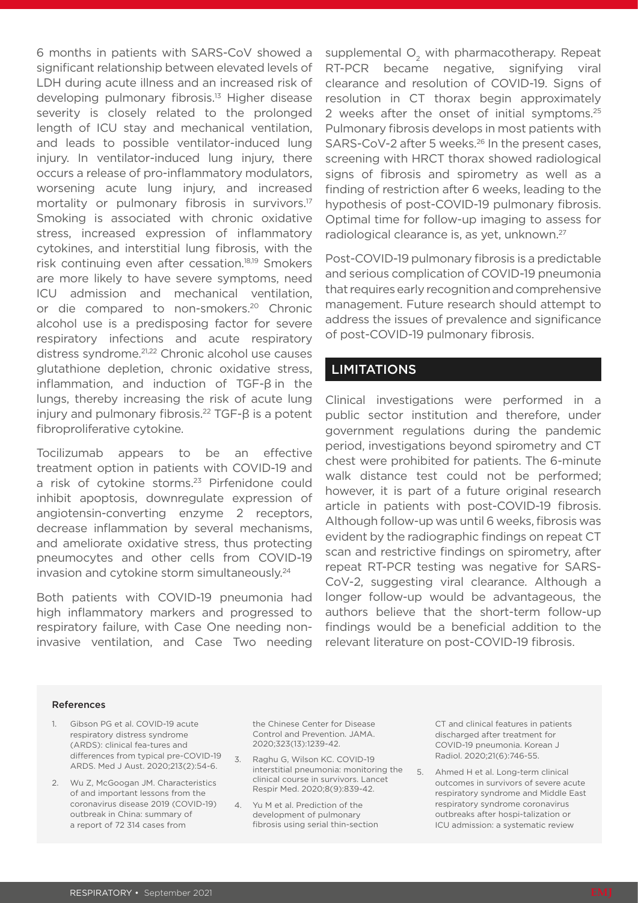6 months in patients with SARS-CoV showed a significant relationship between elevated levels of LDH during acute illness and an increased risk of developing pulmonary fibrosis.<sup>13</sup> Higher disease severity is closely related to the prolonged length of ICU stay and mechanical ventilation, and leads to possible ventilator-induced lung injury. In ventilator-induced lung injury, there occurs a release of pro-inflammatory modulators, worsening acute lung injury, and increased mortality or pulmonary fibrosis in survivors.<sup>17</sup> Smoking is associated with chronic oxidative stress, increased expression of inflammatory cytokines, and interstitial lung fibrosis, with the risk continuing even after cessation.18,19 Smokers are more likely to have severe symptoms, need ICU admission and mechanical ventilation, or die compared to non-smokers.20 Chronic alcohol use is a predisposing factor for severe respiratory infections and acute respiratory distress syndrome.21,22 Chronic alcohol use causes glutathione depletion, chronic oxidative stress, inflammation, and induction of TGF-β in the lungs, thereby increasing the risk of acute lung injury and pulmonary fibrosis.<sup>22</sup> TGF- $\beta$  is a potent fibroproliferative cytokine.

Tocilizumab appears to be an effective treatment option in patients with COVID-19 and a risk of cytokine storms.<sup>23</sup> Pirfenidone could inhibit apoptosis, downregulate expression of angiotensin-converting enzyme 2 receptors, decrease inflammation by several mechanisms, and ameliorate oxidative stress, thus protecting pneumocytes and other cells from COVID-19 invasion and cytokine storm simultaneously.24

Both patients with COVID-19 pneumonia had high inflammatory markers and progressed to respiratory failure, with Case One needing noninvasive ventilation, and Case Two needing supplemental  $O<sub>2</sub>$  with pharmacotherapy. Repeat RT-PCR became negative, signifying viral clearance and resolution of COVID-19. Signs of resolution in CT thorax begin approximately 2 weeks after the onset of initial symptoms.<sup>25</sup> Pulmonary fibrosis develops in most patients with SARS-CoV-2 after 5 weeks.<sup>26</sup> In the present cases, screening with HRCT thorax showed radiological signs of fibrosis and spirometry as well as a finding of restriction after 6 weeks, leading to the hypothesis of post-COVID-19 pulmonary fibrosis. Optimal time for follow-up imaging to assess for radiological clearance is, as yet, unknown.27

Post-COVID-19 pulmonary fibrosis is a predictable and serious complication of COVID-19 pneumonia that requires early recognition and comprehensive management. Future research should attempt to address the issues of prevalence and significance of post-COVID-19 pulmonary fibrosis.

#### LIMITATIONS

Clinical investigations were performed in a public sector institution and therefore, under government regulations during the pandemic period, investigations beyond spirometry and CT chest were prohibited for patients. The 6-minute walk distance test could not be performed; however, it is part of a future original research article in patients with post-COVID-19 fibrosis. Although follow-up was until 6 weeks, fibrosis was evident by the radiographic findings on repeat CT scan and restrictive findings on spirometry, after repeat RT-PCR testing was negative for SARS-CoV-2, suggesting viral clearance. Although a longer follow-up would be advantageous, the authors believe that the short-term follow-up findings would be a beneficial addition to the relevant literature on post-COVID-19 fibrosis.

#### References

- 1. Gibson PG et al. COVID-19 acute respiratory distress syndrome (ARDS): clinical fea-tures and differences from typical pre-COVID-19 ARDS. Med J Aust. 2020;213(2):54-6.
- 2. Wu Z, McGoogan JM. Characteristics of and important lessons from the coronavirus disease 2019 (COVID-19) outbreak in China: summary of a report of 72 314 cases from

the Chinese Center for Disease Control and Prevention. JAMA. 2020;323(13):1239-42.

- 3. Raghu G, Wilson KC. COVID-19 interstitial pneumonia: monitoring the clinical course in survivors. Lancet Respir Med. 2020;8(9):839-42.
- 4. Yu M et al. Prediction of the development of pulmonary fibrosis using serial thin-section

CT and clinical features in patients discharged after treatment for COVID-19 pneumonia. Korean J Radiol. 2020;21(6):746-55.

5. Ahmed H et al. Long-term clinical outcomes in survivors of severe acute respiratory syndrome and Middle East respiratory syndrome coronavirus outbreaks after hospi-talization or ICU admission: a systematic review